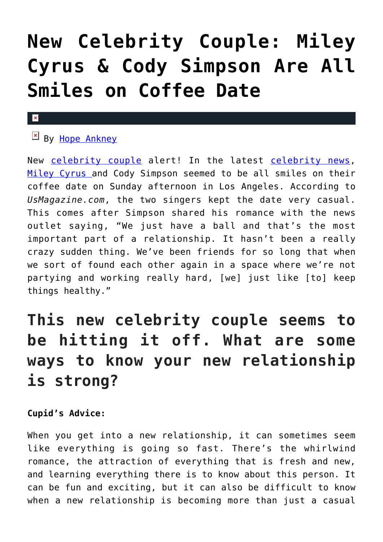# **[New Celebrity Couple: Miley](https://cupidspulse.com/133505/new-celebrity-couple-miley-cyrus-cody-simpson-coffee-date/) [Cyrus & Cody Simpson Are All](https://cupidspulse.com/133505/new-celebrity-couple-miley-cyrus-cody-simpson-coffee-date/) [Smiles on Coffee Date](https://cupidspulse.com/133505/new-celebrity-couple-miley-cyrus-cody-simpson-coffee-date/)**

#### $\mathbf{x}$

## $By$  [Hope Ankney](http://cupidspulse.com/132970/hope-ankney/)

New [celebrity couple](http://cupidspulse.com/celebrity-news/celebrity-dating/) alert! In the latest [celebrity news,](http://cupidspulse.com/celebrity-news/) [Miley Cyrus a](http://cupidspulse.com/86089/miley-cyrus/)nd Cody Simpson seemed to be all smiles on their coffee date on Sunday afternoon in Los Angeles. According to *UsMagazine.com*, the two singers kept the date very casual. This comes after Simpson shared his romance with the news outlet saying, "We just have a ball and that's the most important part of a relationship. It hasn't been a really crazy sudden thing. We've been friends for so long that when we sort of found each other again in a space where we're not partying and working really hard, [we] just like [to] keep things healthy."

# **This new celebrity couple seems to be hitting it off. What are some ways to know your new relationship is strong?**

### **Cupid's Advice:**

When you get into a new relationship, it can sometimes seem like everything is going so fast. There's the whirlwind romance, the attraction of everything that is fresh and new, and learning everything there is to know about this person. It can be fun and exciting, but it can also be difficult to know when a new relationship is becoming more than just a casual